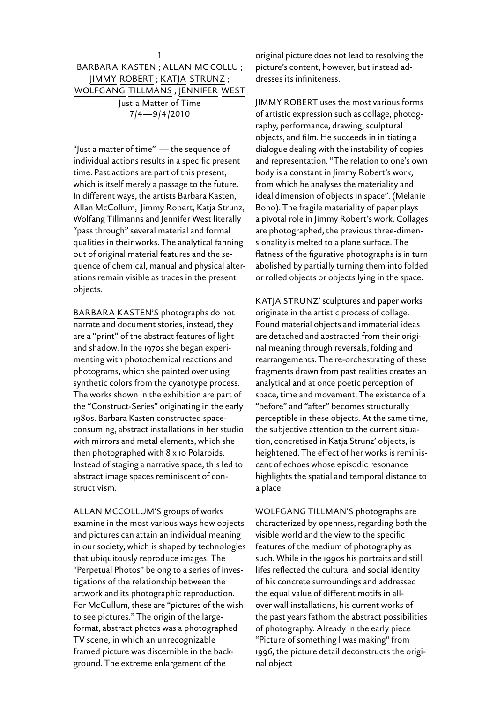## 1 Barbara Kasten ; Allan Mc Collu ; Jimmy Robert ; Katja Strunz ; Wolfgang Tillmans ; Jennifer West Just a Matter of Time 7/4—9/4/2010

"Just a matter of time" - the sequence of individual actions results in a specific present time. Past actions are part of this present, which is itself merely a passage to the future. In different ways, the artists Barbara Kasten, Allan McCollum, Jimmy Robert, Katja Strunz, Wolfang Tillmanns and Jennifer West literally "pass through" several material and formal qualities in their works. The analytical fanning out of original material features and the sequence of chemical, manual and physical alterations remain visible as traces in the present objects.

BARBARA KASTEN'S photographs do not narrate and document stories, instead, they are a "print" of the abstract features of light and shadow. In the 1970s she began experimenting with photochemical reactions and photograms, which she painted over using synthetic colors from the cyanotype process. The works shown in the exhibition are part of the "Construct-Series" originating in the early 1980s. Barbara Kasten constructed spaceconsuming, abstract installations in her studio with mirrors and metal elements, which she then photographed with 8 x 10 Polaroids. Instead of staging a narrative space, this led to abstract image spaces reminiscent of constructivism.

Allan McCollum's groups of works examine in the most various ways how objects and pictures can attain an individual meaning in our society, which is shaped by technologies that ubiquitously reproduce images. The "Perpetual Photos" belong to a series of investigations of the relationship between the artwork and its photographic reproduction. For McCullum, these are "pictures of the wish to see pictures." The origin of the largeformat, abstract photos was a photographed TV scene, in which an unrecognizable framed picture was discernible in the background. The extreme enlargement of the

original picture does not lead to resolving the picture's content, however, but instead addresses its infiniteness.

Jimmy Robert uses the most various forms of artistic expression such as collage, photography, performance, drawing, sculptural objects, and film. He succeeds in initiating a dialogue dealing with the instability of copies and representation. "The relation to one's own body is a constant in Jimmy Robert's work, from which he analyses the materiality and ideal dimension of objects in space". (Melanie Bono). The fragile materiality of paper plays a pivotal role in Jimmy Robert's work. Collages are photographed, the previous three-dimensionality is melted to a plane surface. The flatness of the figurative photographs is in turn abolished by partially turning them into folded or rolled objects or objects lying in the space.

KATJA STRUNZ' sculptures and paper works originate in the artistic process of collage. Found material objects and immaterial ideas are detached and abstracted from their original meaning through reversals, folding and rearrangements. The re-orchestrating of these fragments drawn from past realities creates an analytical and at once poetic perception of space, time and movement. The existence of a "before" and "after" becomes structurally perceptible in these objects. At the same time, the subjective attention to the current situation, concretised in Katja Strunz' objects, is heightened. The effect of her works is reminiscent of echoes whose episodic resonance highlights the spatial and temporal distance to a place.

WOLFGANG TILLMAN'S photographs are characterized by openness, regarding both the visible world and the view to the specific features of the medium of photography as such. While in the 1990s his portraits and still lifes reflected the cultural and social identity of his concrete surroundings and addressed the equal value of different motifs in allover wall installations, his current works of the past years fathom the abstract possibilities of photography. Already in the early piece "Picture of something I was making" from 1996, the picture detail deconstructs the original object